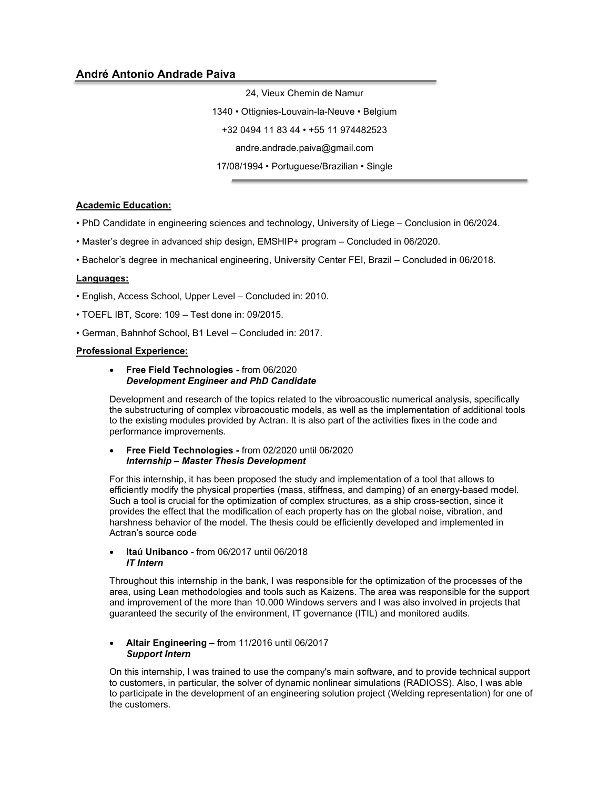24, Vieux Chemin de Namur

1340 • Ottignies-Louvain-la-Neuve • Belgium

+32 0494 11 83 44 • +55 11 974482523

andre.andrade.paiva@gmail.com

17/08/1994 • Portuguese/Brazilian • Single

## Academic Education:

• PhD Candidate in engineering sciences and technology, University of Liege – Conclusion in 06/2024.

- Master's degree in advanced ship design, EMSHIP+ program Concluded in 06/2020.
- Bachelor's degree in mechanical engineering, University Center FEI, Brazil Concluded in 06/2018.

#### Languages:

- English, Access School, Upper Level Concluded in: 2010.
- TOEFL IBT, Score: 109 Test done in: 09/2015.
- German, Bahnhof School, B1 Level Concluded in: 2017.

## Professional Experience:

#### • Free Field Technologies - from 06/2020 Development Engineer and PhD Candidate

Development and research of the topics related to the vibroacoustic numerical analysis, specifically the substructuring of complex vibroacoustic models, as well as the implementation of additional tools to the existing modules provided by Actran. It is also part of the activities fixes in the code and performance improvements.

#### Free Field Technologies - from 02/2020 until 06/2020 Internship – Master Thesis Development

For this internship, it has been proposed the study and implementation of a tool that allows to efficiently modify the physical properties (mass, stiffness, and damping) of an energy-based model. Such a tool is crucial for the optimization of complex structures, as a ship cross-section, since it provides the effect that the modification of each property has on the global noise, vibration, and harshness behavior of the model. The thesis could be efficiently developed and implemented in Actran's source code

#### • Itaú Unibanco - from 06/2017 until 06/2018 IT Intern

Throughout this internship in the bank, I was responsible for the optimization of the processes of the area, using Lean methodologies and tools such as Kaizens. The area was responsible for the support and improvement of the more than 10.000 Windows servers and I was also involved in projects that guaranteed the security of the environment, IT governance (ITIL) and monitored audits.

#### Altair Engineering – from 11/2016 until 06/2017 Support Intern

On this internship, I was trained to use the company's main software, and to provide technical support to customers, in particular, the solver of dynamic nonlinear simulations (RADIOSS). Also, I was able to participate in the development of an engineering solution project (Welding representation) for one of the customers.